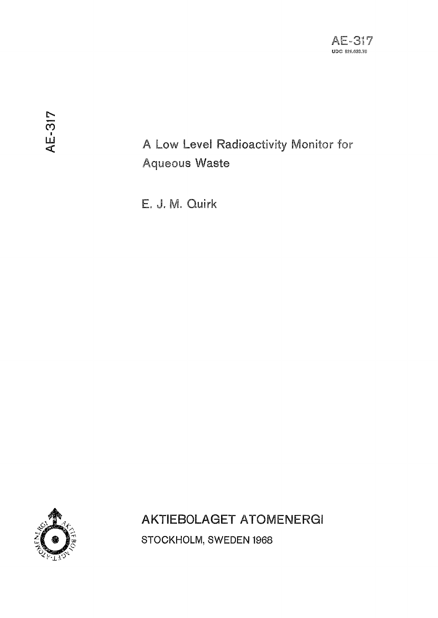# A Low Level Radioactivity Monitor for **Aqueous Waste**

E. J. M. Quirk



**AKTIEBOLAGET ATOMENERGI** STOCKHOLM, SWEDEN 1968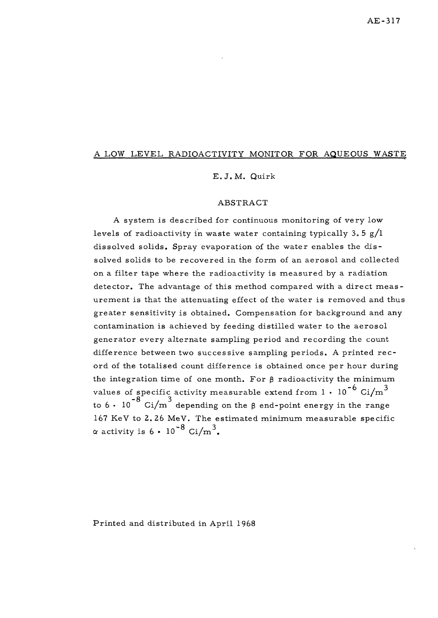#### A LOW LEVEL RADIOACTIVITY MONITOR FOR AQUEOUS WASTE

#### E. J.M. Quirk

#### ABSTRACT

A system is described for continuous monitoring of very low levels of radioactivity in waste water containing typically  $3.5 g/l$ dissolved solids. Spray evaporation of the water enables the dissolved solids to be recovered in the form of an aerosol and collected on a filter tape where the radioactivity is measured by a radiation detector. The advantage of this method compared with a direct measurement is that the attenuating effect of the water is removed and thus greater sensitivity is obtained. Compensation for background and any contamination is achieved by feeding distilled water to the aerosol generator every alternate sampling period and recording the count difference between two successive sampling periods. A printed record of the totalised count difference is obtained once per hour during the integration time of one month. For  $\beta$  radioactivity the minimum values of specific activity measurable extend from  $1 \cdot 10^{-6}$  Ci/m<sup>3</sup> to  $6 \cdot 10^{-8}$  Ci/m<sup>3</sup> depending on the  $\beta$  end-point energy in the range  $167$  KeV to 2.26 MeV. The estimated minimum measurable specific  $-8$   $\sim$   $1^{3}$  $a$  activity is  $0 - 10 - 0.1/\text{m}$ .

Printed and distributed in April 1968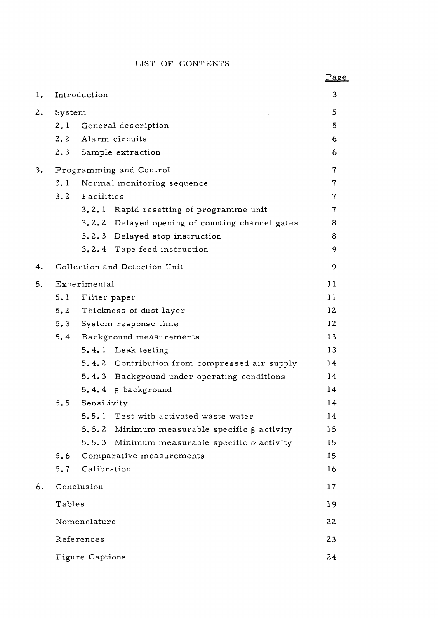# LIST OF CONTENTS

|                |                         |                             |                                                    | <u>rage</u>    |
|----------------|-------------------------|-----------------------------|----------------------------------------------------|----------------|
| $\mathbf{1}$ . |                         | Introduction                |                                                    | 3              |
| 2.             | System                  |                             |                                                    | 5              |
|                | 2.1                     | General description         |                                                    |                |
|                | 2, 2                    | Alarm circuits              |                                                    |                |
|                |                         |                             | 2.3 Sample extraction                              | 6              |
| 3.             | Programming and Control |                             |                                                    | $\overline{7}$ |
|                | 3.1                     | Normal monitoring sequence  |                                                    |                |
|                |                         | 3.2 Facilities              |                                                    |                |
|                |                         |                             | 3.2.1 Rapid resetting of programme unit            | $\overline{7}$ |
|                |                         |                             | 3.2.2 Delayed opening of counting channel gates    | 8              |
|                |                         |                             | 3.2.3 Delayed stop instruction                     | 8              |
|                |                         |                             | 3.2.4 Tape feed instruction                        | 9              |
| 4.             |                         |                             | Collection and Detection Unit                      | 9              |
| 5.             | Experimental            |                             |                                                    | 11             |
|                | 5.1                     | Filter paper                |                                                    | 11             |
|                |                         | 5.2 Thickness of dust layer |                                                    | 12             |
|                |                         | 5.3 System response time    |                                                    | 12             |
|                | 5.4                     | Background measurements     |                                                    | 13             |
|                |                         |                             | 5.4.1 Leak testing                                 | 13             |
|                |                         |                             | 5.4.2 Contribution from compressed air supply      | 14             |
|                |                         |                             | 5.4.3 Background under operating conditions        | 14             |
|                |                         |                             | $5.4.4 \; \beta$ background                        | 14             |
|                | 5.5                     | Sensitivity                 |                                                    | 14             |
|                |                         |                             | 5.5.1 Test with activated waste water              | 14             |
|                |                         |                             | 5.5.2 Minimum measurable specific $\beta$ activity | 15             |
|                |                         | 5.5.3                       | Minimum measurable specific $\alpha$ activity      | 15             |
|                | 5.6                     |                             | Comparative measurements                           | 15             |
|                | 5.7                     | Calibration                 |                                                    | 16             |
| 6.             | Conclusion              |                             |                                                    | 17             |
|                | Tables                  |                             |                                                    | 19             |
|                | Nomenclature            |                             |                                                    | 22             |
|                | References              |                             |                                                    | 23             |
|                | Figure Captions         |                             |                                                    | 24             |

# Page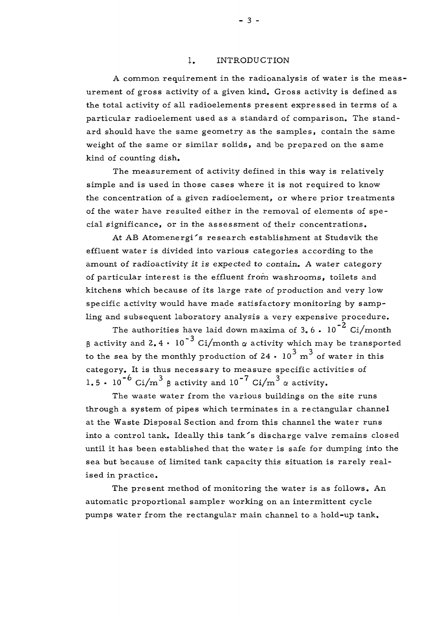### 1. INTRODUCTION

A common requirement in the radioanalysis of water is the measurement of gross activity of a given kind. Gross activity is defined as the total activity of all radioelements present expressed in terms of a particular radioelement used as a standard of comparison. The standard should have the same geometry as the samples, contain the same weight of the same or similar solids, and be prepared on the same kind of counting dish.

The measurement of activity defined in this way is relatively simple and is used in those cases where it is not required to know the concentration of a given radioelement, or where prior treatments of the water have resulted either in the removal of elements of special significance, or in the assessment of their concentrations.

At AB Atomenergi's research establishment at Studsvik the effluent water is divided into various categories according to the amount of radioactivity it is expected to contain. A water category of particular interest is the effluent from washrooms, toilets and kitchens which because of its large rate of production and very low specific activity would have made satisfactory monitoring by sampling and subsequent laboratory analysis a very expensive procedure.

The authorities have laid down maxima of 3.6.  $10^{-2}$  Ci/month  $\beta$  activity and 2.4  $\cdot$  10<sup>-3</sup> Ci/month  $\alpha$  activity which may be transported to the sea by the monthly production of 24  $\cdot$  10<sup>3</sup> m<sup>3</sup> of water in this category. It is thus necessary to measure specific activities of 1.5 • 10<sup>-6</sup> Ci/m<sup>3</sup>  $\mu$  activity and 10<sup>-7</sup> Ci/m<sup>3</sup>  $\alpha$  activity.

The waste water from the various buildings on the site runs through a system of pipes which terminates in a rectangular channel at the Waste Disposal Section and from this channel the water runs into a control tank. Ideally this tank's discharge valve remains closed until it has been established that the water is safe for dumping into the sea but because of limited tank capacity this situation is rarely realised in practice .

The present method of monitoring the water is as follows. An automatic proportional sampler working on an intermittent cycle pumps water from the rectangular main channel to a hold-up tank.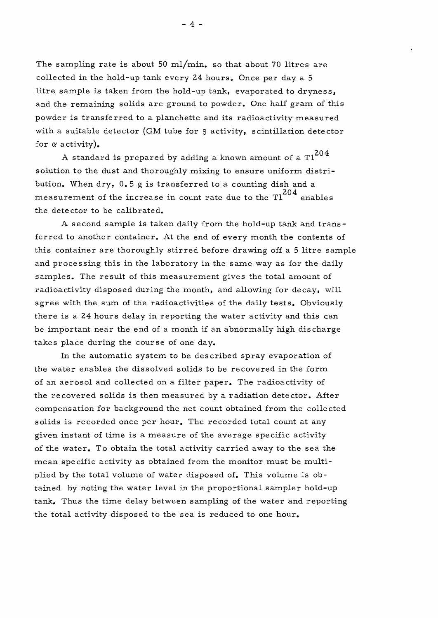The sampling rate is about 50 ml/min. so that about 70 litres are collected in the hold-up tank every 24 hours. Once per day a 5 litre sample is taken from the hold-up tank, evaporated to dryness, and the remaining solids are ground to powder. One half gram of this powder is transferred to a planchette and its radioactivity measured with a suitable detector (GM tube for  $\beta$  activity, scintillation detector for *a* activity).

A standard is prepared by adding a known amount of a  $T1^{204}$ solution to the dust and thoroughly mixing to ensure uniform distribution. When dry,  $0.5$  g is transferred to a counting dish and a measurement of the increase in count rate due to the  $T1^{204}$  enables the detector to be calibrated.

A second sample is taken daily from the hold-up tank and transferred to another container. At the end of every month the contents of this container are thoroughly stirred before drawing off a 5 litre sample and processing this in the laboratory in the same way as for the daily samples. The result of this measurement gives the total amount of radioactivity disposed during the month, and allowing for decay, will agree with the sum of the radioactivities of the daily tests. Obviously there is a 24 hours delay in reporting the water activity and this can be important near the end of a month if an abnormally high discharge takes place during the course of one day.

In the automatic system to be described spray evaporation of the water enables the dissolved solids to be recovered in the form of an aerosol and collected on a filter paper. The radioactivity of the recovered solids is then measured by a radiation detector. After compensation for background the net count obtained from the collected solids is recorded once per hour. The recorded total count at any given instant of time is a measure of the average specific activity of the water. To obtain the total activity carried away to the sea the mean specific activity as obtained from the monitor must be multiplied by the total volume of water disposed of. This volume is obtained by noting the water level in the proportional sampler hold-up tank. Thus the time delay between sampling of the water and reporting the total activity disposed to the sea is reduced to one hour.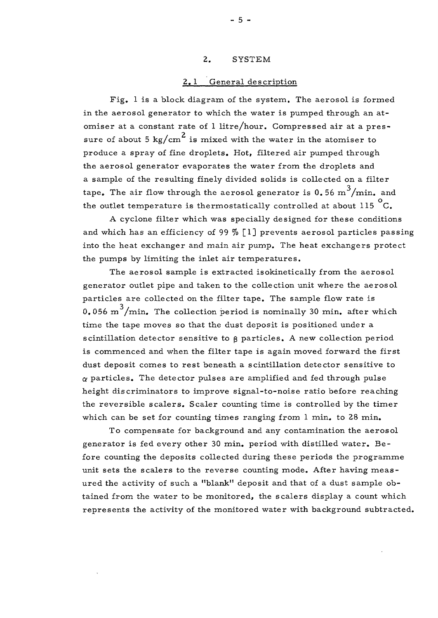## 2. SYSTEM

## 2. 1 General description

Fig. 1 is a block diagram of the system. The aerosol is formed in the aerosol generator to which the water is pumped through an atomiser at a constant rate of 1 litre/hour. Compressed air at a pressure of about 5 kg/cm<sup>2</sup> is mixed with the water in the atomiser to produce a spray of fine droplets. Hot, filtered air pumped through the aerosol generator evaporates the water from the droplets and a sample of the resulting finely divided solids is collected on a filter **o**  tape. The air flow through the aerosol generator is 0.56 m /min. and the outlet temperature is thermostatically controlled at about 115  ${}^{\circ}$ C.

A cyclone filter which was specially designed for these conditions and which has an efficiency of 99  $%$  [1] prevents aerosol particles passing into the heat exchanger and main air pump. The heat exchangers protect the pumps by limiting the inlet air temperatures.

The aerosol sample is extracted isokinetically from the aerosol generator outlet pipe and taken to the collection unit where the aerosol particles are collected on the filter tape. The sample flow rate is 0.056 m<sup>3</sup>/min. The collection period is nominally 30 min. after which time the tape moves so that the dust deposit is positioned under a scintillation detector sensitive to g particles. A new collection period is commenced and when the filter tape is again moved forward the first dust deposit comes to rest beneath a scintillation detector sensitive to  $\alpha$  particles. The detector pulses are amplified and fed through pulse height discriminators to improve signal-to-noise ratio before reaching the reversible scalers. Scaler counting time is controlled by the timer which can be set for counting times ranging from 1 min. to 28 min.

To compensate for background and any contamination the aerosol generator is fed every other 30 min. period with distilled water. Be fore counting the deposits collected during these periods the programme unit sets the scalers to the reverse counting mode. After having measured the activity of such a "blank" deposit and that of a dust sample obtained from the water to be monitored, the scalers display a count which represents the activity of the monitored water with background subtracted.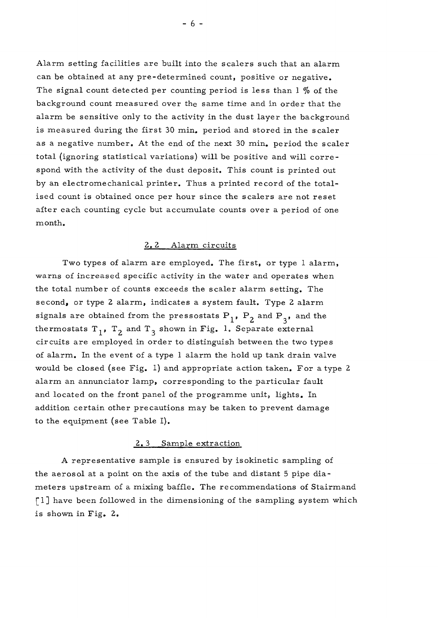Alarm setting facilities are built into the scalers such that an alarm can be obtained at any pre-determined count, positive or negative. The signal count detected per counting period is less than  $1\%$  of the background count measured over the same time and in order that the alarm be sensitive only to the activity in the dust layer the background is measured during the first 30 min. period and stored in the scaler as a negative number. At the end of the next 30 min. period the scaler total (ignoring statistical variations) will be positive and will corre spond with the activity of the dust deposit. This count is printed out by an electromechanical printer. Thus a printed record of the totalised count is obtained once per hour since the scalers are not reset after each counting cycle but accumulate counts over a period of one month.

# 2. 2 Alarm circuits

Two types of alarm are employed. The first, or type 1 alarm, warns of increased specific activity in the water and operates when the total number of counts exceeds the scaler alarm setting. The second, or type 2 alarm, indicates a system fault. Type 2 alarm signals are obtained from the pressostats  $P_1$ ,  $P_2$  and  $P_3$ , and the thermostats  $T_1$ ,  $T_2$  and  $T_3$  shown in Fig. 1. Separate external circuits are employed in order to distinguish between the two types of alarm. In the event of a type 1 alarm the hold up tank drain valve would be closed (see Fig. 1) and appropriate action taken. For a type 2 alarm an annunciator lamp, corresponding to the particular fault and located on the front panel of the programme unit, lights. In addition certain other precautions may be taken to prevent damage to the equipment (see Table I).

#### 2. 3 Sample extraction

A representative sample is ensured by isokinetic sampling of the aerosol at a point on the axis of the tube and distant 5 pipe diameters upstream of a mixing baffle. The recommendations of Stairmand [1] have been followed in the dimensioning of the sampling system which is shown in Fig. 2.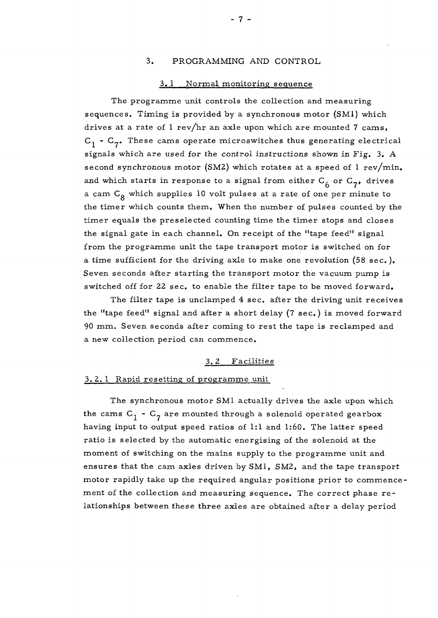## 3. PROGRAMMING AND CONTROL

#### 3..1 Normal monitoring sequence

The programme unit controls the collection and measuring sequences. Timing is provided by a synchronous motor (SMI) which drives at a rate of 1 rev/hr an axle upon which are mounted 7 cams,  $C_1$  -  $C_2$ . These cams operate microswitches thus generating electrical signals which are used for the control instructions shown in Fig. 3. A second synchronous motor (SM2) which rotates at a speed of  $1 \text{ rev/min}$ . and which starts in response to a signal from either  $C_f$  or  $C_7$ , drives a cam  $C_g$  which supplies 10 volt pulses at a rate of one per minute to the timer which counts them. When the number of pulses counted by the timer equals the preselected counting time the timer stops and closes the signal gate in each channel. On receipt of the "tape feed" signal from the programme unit the tape transport motor is switched on for a time sufficient for the driving axle to make one revolution  $(58 \text{ sec.})$ . Seven seconds after starting the transport motor the vacuum pump is switched off for 22 sec. to enable the filter tape to be moved forward.

The filter tape is unclamped 4 sec. after the driving unit receives the "tape feed" signal and after a short delay (7 sec.) is moved forward 90 mm. Seven seconds after coming to rest the tape is reclamped and a new collection period can commence.

#### 3. 2 Facilities

#### 3. 2. 1 Rapid resetting of programme unit

The synchronous motor SMI actually drives the axle upon which the cams  $C_1$  -  $C_7$  are mounted through a solenoid operated gearbox having input to output speed ratios of 1:1 and 1:60. The latter speed ratio is selected by the automatic energising of the solenoid at the moment of switching on the mains supply to the programme unit and ensures that the cam axles driven by SM1, SM2, and the tape transport motor rapidly take up the required angular positions prior to commencement of the collection and measuring sequence. The correct phase relationships between these three axles are obtained after a delay period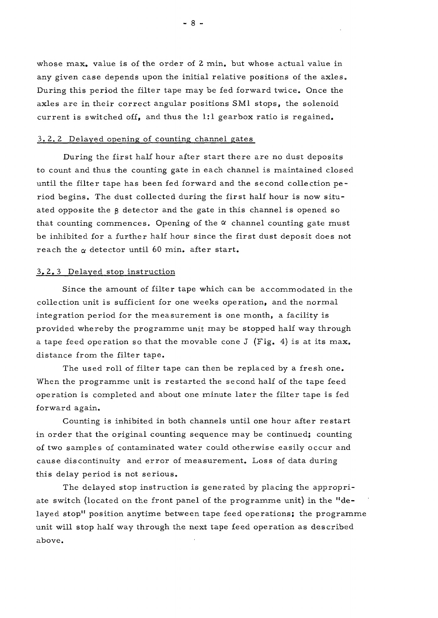whose max. value is of the order of 2 min. but whose actual value in any given case depends upon the initial relative positions of the axles. During this period the filter tape may be fed forward twice. Once the axles are in their correct angular positions SMI stops, the solenoid current is switched off, and thus the 1:1 gearbox ratio is regained.

#### 3. 2. 2 Delayed opening of counting channel gates

During the first half hour after start there are no dust deposits to count and thus the counting gate in each channel is maintained closed until the filter tape has been fed forward and the second collection pe riod begins. The dust collected during the first half hour is now situated opposite the g detector and the gate in this channel is opened so that counting commences. Opening of the  $\alpha$  channel counting gate must be inhibited for a further half hour since the first dust deposit does not reach the  $\alpha$  detector until 60 min. after start.

#### 3.2. 3 Delayed stop instruction

Since the amount of filter tape which can be accommodated in the collection unit is sufficient for one weeks operation, and the normal integration period for the measurement is one month, a facility is provided whereby the programme unit may be stopped half way through a tape feed operation so that the movable cone J (Fig. 4) is at its max. distance from the filter tape.

The used roll of filter tape can then be replaced by a fresh one. When the programme unit is restarted the second half of the tape feed operation is completed and about one minute later the filter tape is fed forward again.

Counting is inhibited in both channels until one hour after restart in order that the original counting sequence may be continued; counting of two samples of contaminated water could otherwise easily occur and cause discontinuity and error of measurement. Loss of data during this delay period is not serious.

The delayed stop instruction is generated by placing the appropriate switch (located on the front panel of the programme unit) in the "delayed stop" position anytime between tape feed operations; the programme unit will stop half way through the next tape feed operation as described above.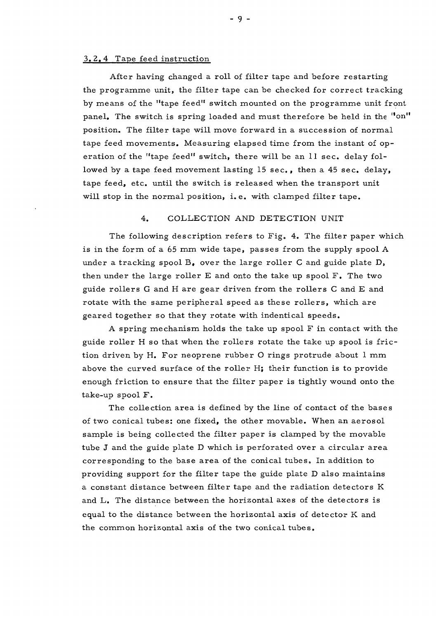#### 3. 2. 4 Tape feed instruction

After having changed a roll of filter tape and before restarting the programme unit, the filter tape can be checked for correct tracking by means of the "tape feed" switch mounted on the programme unit front panel. The switch is spring loaded and must therefore be held in the "on" position. The filter tape will move forward in a succession of normal tape feed movements. Measuring elapsed time from the instant of operation of the "tape feed" switch, there will be an 11 sec. delay followed by a tape feed movement lasting 15 sec., then a 45 sec. delay, tape feed, etc. until the switch is released when the transport unit will stop in the normal position, i.e. with clamped filter tape.

#### 4. COLLECTION AND DETECTION UNIT

The following description refers to Fig. 4. The filter paper which is in the form of a 65 mm wide tape, passes from the supply spool A under a tracking spool  $B_r$ , over the large roller C and guide plate D, then under the large roller  $E$  and onto the take up spool  $F$ . The two guide rollers G and H are gear driven from the rollers C and E and rotate with the same peripheral speed as these rollers, which are geared together so that they rotate with indentical speeds.

A spring mechanism holds the take up spool F in contact with the guide roller H so that when the rollers rotate the take up spool is friction driven by H. For neoprene rubber O rings protrude about 1 mm above the curved surface of the roller  $H$ ; their function is to provide enough friction to ensure that the filter paper is tightly wound onto the take-up spool F .

The collection area is defined by the line of contact of the bases of two conical tubes: one fixed, the other movable. When an aerosol sample is being collected the filter paper is clamped by the movable tube  $J$  and the guide plate  $D$  which is perforated over a circular area corresponding to the base area of the conical tubes. In addition to providing support for the filter tape the guide plate D also maintains a constant distance between filter tape and the radiation detectors K and L. The distance between the horizontal axes of the detectors is equal to the distance between the horizontal axis of detector K and the common horizontal axis of the two conical tubes.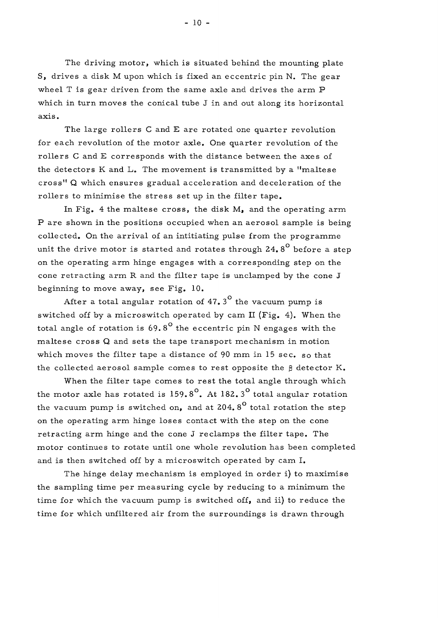The driving motor, which is situated behind the mounting plate S, drives a disk M upon which is fixed an eccentric pin N. The gear wheel T is gear driven from the same axle and drives the arm P which in turn moves the conical tube J in and out along its horizontal axis.

The large rollers C and E are rotated one quarter revolution for each revolution of the motor axle. One quarter revolution of the rollers C and E corresponds with the distance between the axes of the detectors  $K$  and  $L<sub>s</sub>$ . The movement is transmitted by a "maltese cross " Q which ensure s gradual acceleration and deceleration of the rollers to minimise the stress set up in the filter tape.

In Fig. 4 the maltese cross, the disk  $M_{\bullet}$  and the operating arm P are shown in the positions occupied when an aerosol sample is being collected. On the arrival of an intitiating pulse from the programme unit the drive motor is started and rotates through  $24.8^{\circ}$  before a step on the operating arm hinge engages with a corresponding step on the cone retracting arm R and the filter tape is unclamped by the cone J beginning to move away, see Fig. 10.

After a total angular rotation of  $47.3^{\circ}$  the vacuum pump is switched off by a microswitch operated by cam II (Fig. 4). When the total angle of rotation is  $69.8^{\circ}$  the eccentric pin N engages with the maltese cross  $Q$  and sets the tape transport mechanism in motion which moves the filter tape a distance of 90 mm in 15 sec. so that the collected aerosol sample comes to rest opposite the  $\beta$  detector K.

When the filter tape comes to rest the total angle through which the motor axle has rotated is  $159.8^\circ$ . At  $182.3^\circ$  total angular rotation the vacuum pump is switched on, and at 204.8<sup>o</sup> total rotation the step on the operating arm hinge loses contact with the step on the cone retracting arm hinge and the cone J reclamps the filter tape. The motor continues to rotate until one whole revolution has been completed and is then switched off by a microswitch operated by cam I.

The hinge delay mechanism is employed in order i) to maximise the sampling time per measuring cycle by reducing to a minimum the time for which the vacuum pump is switched off, and ii) to reduce the time for which unfiltered air from the surroundings is drawn through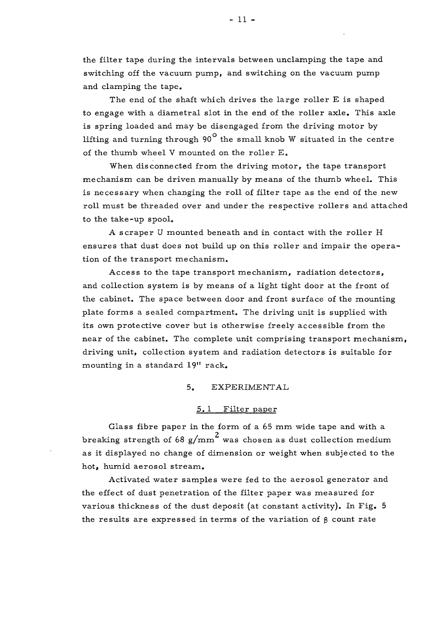the filter tape during the intervals between unclamping the tape and switching off the vacuum pump, and switching on the vacuum pump and clamping the tape.

The end of the shaft which drives the large roller E is shaped to engage with a diametral slot in the end of the roller axle. This axle is spring loaded and may be disengaged from the driving motor by lifting and turning through  $90^{\circ}$  the small knob W situated in the centre of the thumb wheel V mounted on the roller E.

When disconnected from the driving motor, the tape transport mechanism can be driven manually by means of the thumb wheel. This is necessary when changing the roll of filter tape as the end of the new roll must be threaded over and under the respective rollers and attached to the take-up spool.

A scraper U mounted beneath and in contact with the roller H ensures that dust does not build up on this roller and impair the operation of the transport mechanism.

Access to the tape transport mechanism, radiation detectors, and collection system is by means of a light tight door at the front of the cabinet. The space between door and front surface of the mounting plate forms a sealed compartment. The driving unit is supplied with its own protective cover but is otherwise freely accessible from the near of the cabinet. The complete unit comprising transport mechanism, driving unit, collection system and radiation detectors is suitable for mounting in a standard 19" rack.

#### 5. EXPERIMENTAL

#### 5.1 Filter paper

Glass fibre paper in the form of a 65 mm wide tape and with a breaking strength of 68 g/mm<sup>2</sup> was chosen as dust collection medium as it displayed no change of dimension or weight when subjected to the hot, humid aerosol stream.

Activated water samples were fed to the aerosol generator and the effect of dust penetration of the filter paper was measured for various thickness of the dust deposit (at constant activity). In Fig. 5 the results are expressed in terms of the variation of  $\beta$  count rate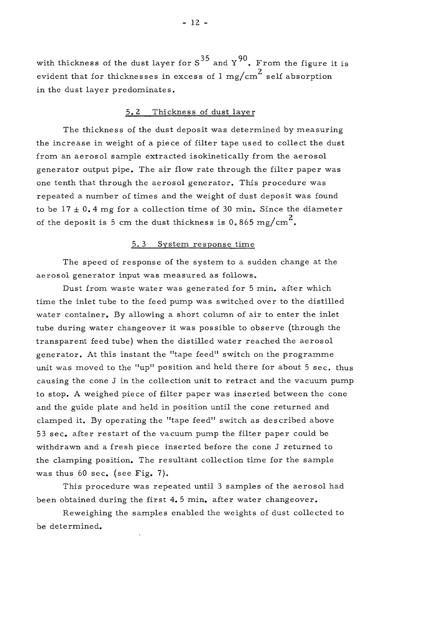with thickness of the dust layer for  $S^{35}$  and  $Y^{90}$ . From the figure it is  $\overline{a}$ evident that for thicknesses in excess of  $1 \text{ mg/cm}^2$  self absorption in the dust layer predominates.

## 5. 2 Thickness of dust layer

The thickness of the dust deposit was determined by measuring the increase in weight of a piece of filter tape used to collect the dust from an aerosol sample extracted isokinetically from the aerosol generator output pipe. The air flow rate through the filter paper was one tenth that through the aerosol generator. This procedure was repeated a number of times and the weight of dust deposit was found to be  $17 \pm 0.4$  mg for a collection time of 30 min. Since the diameter 2 of the deposit is 5 cm the dust thickness is 0.865 mg/cm $^{\prime\prime}$ .

#### 5. 3 System response time

The speed of response of the system to a sudden change at the aerosol generator input was measured as follows.

Dust from waste water was generated for 5 min. after which time the inlet tube to the feed pump was switched over to the distilled water container. By allowing a short column of air to enter the inlet tube during water changeover it was possible to observe (through the transparent feed tube) when the distilled water reached the aerosol generator. At this instant the "tape feed" switch on the programme unit was moved to the "up" position and held there for about 5 sec. thus causing the cone  $J$  in the collection unit to retract and the vacuum pump to stop. A weighed piece of filter paper was inserted between the cone and the guide plate and held in position until the cone returned and clamped it. By operating the "tape feed" switch as described above 53 sec. after restart of the vacuum pump the filter paper could be withdrawn and a fresh piece inserted before the cone J returned to the clamping position. The resultant collection time for the sample was thus  $60$  sec. (see Fig. 7).

This procedure was repeated until 3 samples of the aerosol had been obtained during the first 4. 5 min. after water changeover.

Reweighing the samples enabled the weights of dust collected to be determined.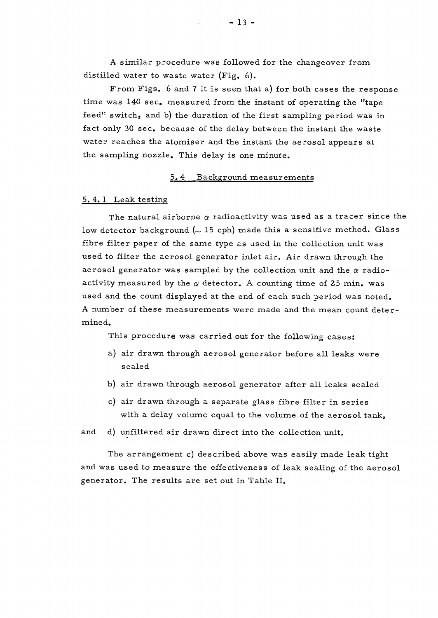A similar procedure was followed for the changeover from distilled water to waste water (Fig, 6).

From Figs. 6 and 7 it is seen that a) for both cases the response time was  $140 \text{ sec}$ , measured from the instant of operating the "tape feed" switch, and b) the duration of the first sampling period was in fact only 30 sec. because of the delay between the instant the waste water reaches the atomiser and the instant the aerosol appears at the sampling nozzle. This delay is one minute.

#### 5.4 Background measurements

#### 5.4. 1 Leak testing

The natural airborne  $\alpha$  radioactivity was used as a tracer since the low detector background  $(\sim 15$  cph) made this a sensitive method. Glass fibre filter paper of the same type as used in the collection unit was used to filter the aerosol generator inlet air. Air drawn through the aerosol generator was sampled by the collection unit and the  $\alpha$  radioactivity measured by the  $\alpha$  detector. A counting time of 25 min. was used and the count displayed at the end of each such period was noted. A number of these measurements were made and the mean count determined.

This procedure was carried out for the following cases:

- a) air drawn through aerosol generator before all leaks were sealed
- b) air drawn through aerosol generator after all leaks sealed
- c) air drawn through a separate glass fibre filter in series with a delay volume equal to the volume of the aerosol tank,

and d) unfiltered air drawn direct into the collection unit.

The arrangement c) described above was easily made leak tight and was used to measure the effectiveness of leak sealing of the aerosol generator. The results are set out in Table II.

 $-13 -$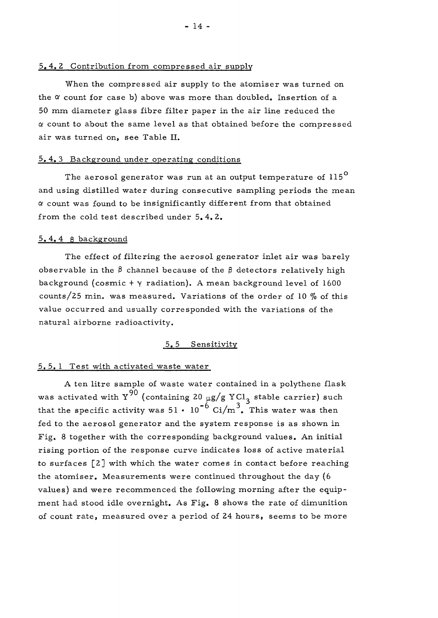#### 5.4.2 Contribution from compressed air supply

When the compressed air supply to the atomiser was turned on the  $\alpha$  count for case b) above was more than doubled. Insertion of a 50 mm diameter glass fibre filter paper in the air line reduced the *a* count to about the same level as that obtained before the compressed air was turned on, see Table II.

#### 5. 4. 3 Background under operating conditions

The aerosol generator was run at an output temperature of  $115^{\circ}$ and using distilled water during consecutive sampling periods the mean *a* count was found to be insignificantly different from that obtained from the cold test described under 5.4.2.

#### 5.4. 4 8 background

The effect of filtering the aerosol generator inlet air was barely observable in the  $\beta$  channel because of the  $\beta$  detectors relatively high background (cosmic  $+ \gamma$  radiation). A mean background level of 1600 counts/25 min. was measured. Variations of the order of 10  $\%$  of this value occurred and usually corresponded with the variations of the natural airborne radioactivity.

#### 5.5 Sensitivity

#### 5. 5. 1 Test with activated waste water

A ten litre sample of waste water contained in a polythene flask was activated with  $\Upsilon^{90}$  (containing 20  $\mu$ g/g YCl<sub>2</sub> stable carrier) such that the specific activity was  $51 \cdot 10^{-6}$  Ci/m<sup>3</sup>. This water was then fed to the aerosol generator and the system response is as shown in Fig. 8 together with the corresponding background values. An initial rising portion of the response curve indicates loss of active material to surfaces [2] with which the water comes in contact before reaching the atomiser. Measurements were continued throughout the day (6 values) and were recommenced the following morning after the equipment had stood idle overnight. As Fig. 8 shows the rate of dimunition of count rate, measured over a period of 24 hours, seems to be more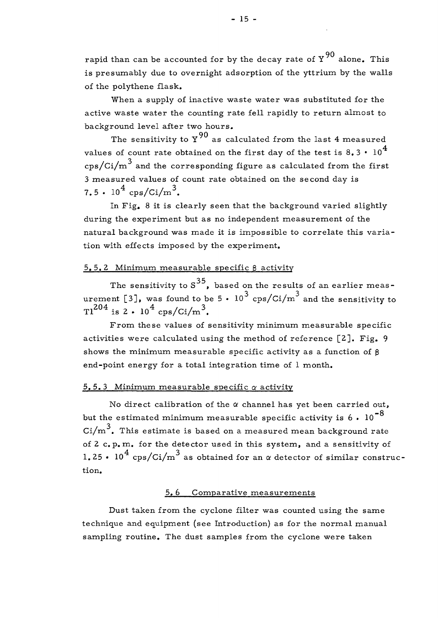rapid than can be accounted for by the decay rate of  $Y^{90}$  alone. This is presumably due to overnight adsorption of the yttrium by the walls of the polythene flask.

When a supply of inactive waste water was substituted for the active waste water the counting rate fell rapidly to return almost to background level after two hours.

The sensitivity to  $Y^{90}$  as calculated from the last 4 measured values of count rate obtained on the first day of the test is  $8.3 \cdot 10^4$  $\cos{\sqrt{ci/m}}^3$  and the corresponding figure as calculated from the first 3 measured values of count rate obtained on the second day is 7.5 •  $10^4 \text{ cps/Ci/m}^3$ .

In Fig, 8 it is clearly seen that the background varied slightly during the experiment but as no independent measurement of the natural background was made it is impossible to correlate this variation with effects imposed by the experiment.

## $5.5.2$  Minimum measurable specific  $\beta$  activity

The sensitivity to  $S^{35}$ , based on the results of an earlier meas-The semsitivity to S  $\frac{1}{2}$ , based on the results of an earlier meascps/Ci/m  $Tl^{204}$  is 2 ·  $l0^4$  cps/Ci/m<sup>3</sup>.

From these values of sensitivity minimum measurable specific activities were calculated using the method of reference  $[2]$ . Fig. 9 shows the minimum measurable specific activity as a function of  $\beta$ end-point energy for a total integration time of  $l$  month. shows the minimum measurabl e specific activity as a function of B

#### 5.5.3 Minimum measurable specific  $\alpha$  activity

No direct calibration of the  $\alpha$  channel has yet been carried out, but the estimated minimum measurable specific activity is  $6 \cdot 10^{-8}$  $\text{Ci/m}^3$ . This estimate is based on a measured mean background rate of  $2$  c.p.m. for the detector used in this system, and a sensitivity of 1.25 •  $10^4$  cps/Ci/m<sup>3</sup> as obtained for an  $\alpha$  detector of similar construc-1.25 • 10 cps/Ci/m as obtained for an *a* detector of simila r construc-

#### 5. 6 Comparative measurements

Dust taken from the cyclone filter was counted using the same technique and equipment (see Introduction) as for the normal manual sampling routine. The dust samples from the cyclone were taken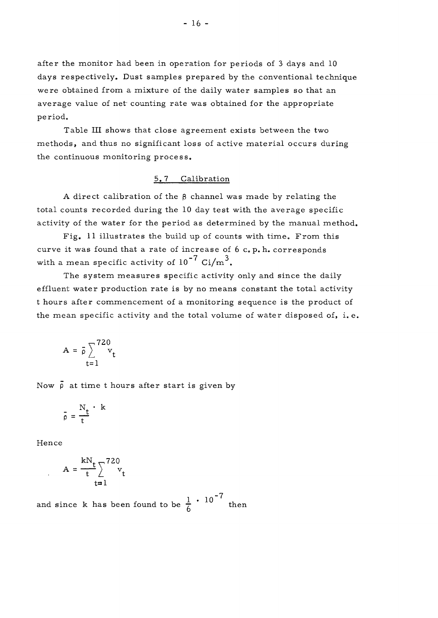after the monitor had been in operation for periods of 3 days and 10 days respectively. Dust samples prepared by the conventional technique were obtained from a mixture of the daily water samples so that an average value of net counting rate was obtained for the appropriate period.

Table III shows that close agreement exists between the two methods, and thus no significant loss of active material occurs during the continuous monitoring process.

## 5. 7 Calibration

A direct calibration of the  $\beta$  channel was made by relating the total counts recorded during the 10 day test with the average specific activity of the water for the period as determined by the manual method.

Fig. 11 illustrates the build up of counts with time. From this curve it was found that a rate of increase of  $6$  c. p. h. corresponds with a mean specific activity of  $10^{-7}$  Ci/m<sup>3</sup>.

The system measures specific activity only and since the daily effluent water production rate is by no means constant the total activity t hours after commencement of a monitoring sequence is the product of the mean specific activity and the total volume of water disposed of, i.e.

$$
A = \overline{\rho} \sum_{t=1}^{720} v_t
$$

Now  $\bar{\rho}$  at time t hours after start is given by

$$
\bar{\rho} = \frac{N_t}{t} \cdot k
$$

Hence

$$
A = \frac{kN_t}{t} \sum_{t=1}^{720} v_t
$$

7 and since k has been found to be  $\frac{1}{6}$  <sup>to</sup> then o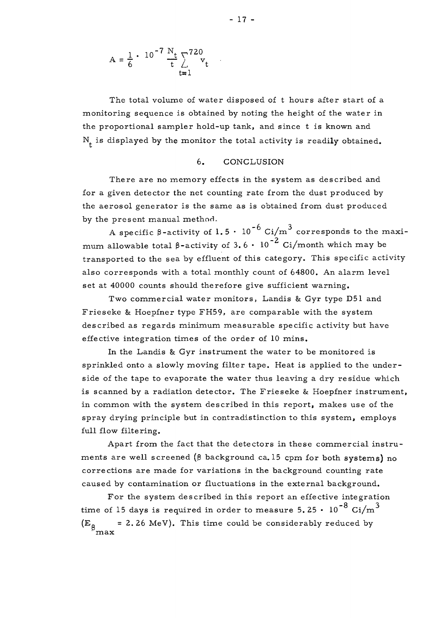$$
A = \frac{1}{6} \cdot 10^{-7} \frac{N_t}{t} \sum_{t=1}^{720} v_t
$$

The total volume of water disposed of t hours after start of a monitoring sequence is obtained by noting the height of the water in the proportional sampler hold-up tank, and since t is known and  $N_t$  is displayed by the monitor the total activity is readily obtained.

#### 6. CONCLUSION

There are no memory effects in the system as described and for a given detector the net counting rate from the dust produced by the aerosol generator is the same as is obtained from dust produced by the present manual method.

A specific  $\beta$ -activity of  $1.5 \cdot 10^{-6}$  Ci/m<sup>3</sup> corresponds to the maximum allowable total  $\beta$ -activity of 3.6  $\cdot$  10<sup>-2</sup> Ci/month which may be transported to the sea by effluent of this category. This specific activity also corresponds with a total monthly count of 64800. An alarm level set at 40000 counts should therefore give sufficient warning.

Two commercial water monitors, Landis & Gyr type D51 and Frieseke & Hoepfner type FH59, are comparable with the system described as regards minimum measurable specific activity but have effective integration times of the order of 10 mins.

In the Landis & Gyr instrument the water to be monitored is sprinkled onto a slowly moving filter tape. Heat is applied to the underside of the tape to evaporate the water thus leaving a dry residue which is scanned by a radiation detector. The Frieseke & Hoepfner instrument, in common with the system described in this report, makes use of the spray drying principle but in contradistinction to this system, employs full flow filtering.

Apart from the fact that the detectors in these commercial instruments are well screened ( $\beta$  background ca. 15 cpm for both systems) no corrections are made for variations in the background counting rate caused by contamination or fluctuations in the external background.

For the system described in this report an effective integration  $^{-8}$  Ci/m<sup>3</sup>  $t_{\text{max}}$  of 15 days is required in order to measure 5. 25  $\rightarrow$  10  $\rightarrow$  27. 11  $= 2.26$  MeV). This time could be considerably reduced by  $\left(\mathbf{E}_{\mathbf{\beta}_{\mathrm{max}}} \right)$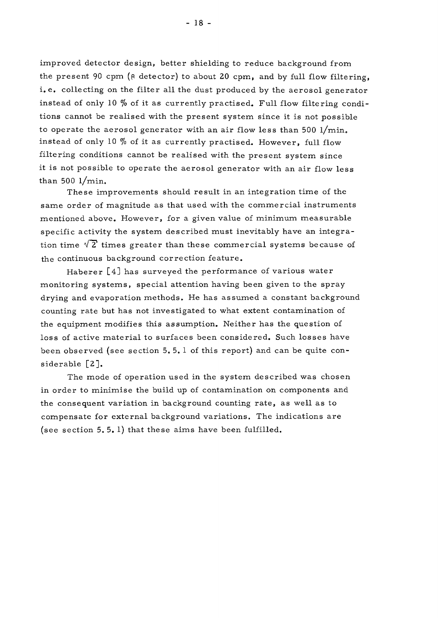improved detector design, better shielding to reduce background from the present 90 cpm ( $\beta$  detector) to about 20 cpm, and by full flow filtering, i.e. collecting on the filter all the dust produced by the aerosol generator instead of only 10 % of it as currently practised. Full flow filtering conditions cannot be realised with the present system since it is not possible to operate the aerosol generator with an air flow less than 500  $1/\text{min}$ . instead of only 10 % of it as currently practised. However, full flow filtering conditions cannot be realised with the present system since it is not possible to operate the aerosol generator with an air flow less than 500 l/min.

These improvements should result in an integration time of the same order of magnitude as that used with the commercial instruments mentioned above. However, for a given value of minimum measurable specific activity the system described must inevitably have an integration time  $\sqrt{2}$  times greater than these commercial systems because of the continuous background correction feature.

Haberer  $[4]$  has surveyed the performance of various water monitoring systems, special attention having been given to the spray drying and evaporation methods. He has assumed a constant background counting rate but has not investigated to what extent contamination of the equipment modifies this assumption. Neither has the question of loss of active material to surfaces been considered. Such losses have been observed (see section 5. 5. 1 of this report) and can be quite considerable [2].

The mode of operation used in the system described was chosen in order to minimise the build up of contamination on components and the consequent variation in background counting rate, as well as to compensate for external background variations. The indications are (see section 5. 5. 1) that these aims have been fulfilled.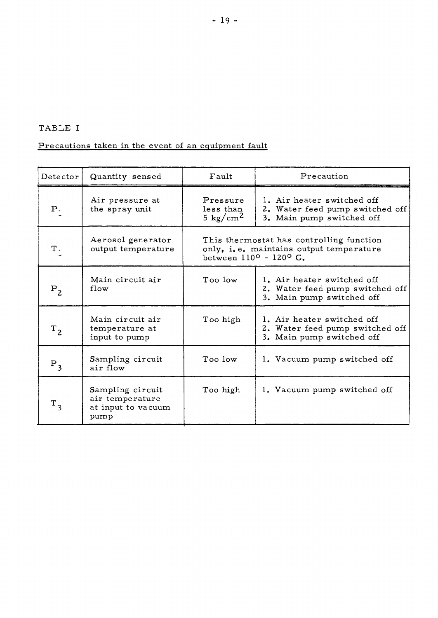# TABLE I

# Precautions taken in the event of an equipment fault

| Detector          | Quantity sensed                                                   | Fault                                                                                                         | Precaution                                                                                 |
|-------------------|-------------------------------------------------------------------|---------------------------------------------------------------------------------------------------------------|--------------------------------------------------------------------------------------------|
| $P_1$             | Air pressure at<br>the spray unit                                 | Pressure<br>less than<br>5 kg/cm <sup>2</sup>                                                                 | 1. Air heater switched off<br>2. Water feed pump switched off<br>3. Main pump switched off |
| $\mathtt{T}_1$    | Aerosol generator<br>output temperature                           | This thermostat has controlling function<br>only, i.e. maintains output temperature<br>between 110° - 120° C. |                                                                                            |
| $P_2$             | Main circuit air<br>flow                                          | Too low                                                                                                       | 1. Air heater switched off<br>2. Water feed pump switched off<br>3. Main pump switched off |
| $T_{2}$           | Main circuit air<br>temperature at<br>input to pump               | Too high                                                                                                      | 1. Air heater switched off<br>2. Water feed pump switched off<br>3. Main pump switched off |
| $P_3$             | Sampling circuit<br>air flow                                      | Too low                                                                                                       | 1. Vacuum pump switched off                                                                |
| $\rm \, T_{\, 3}$ | Sampling circuit<br>air temperature<br>at input to vacuum<br>pump | Too high                                                                                                      | 1. Vacuum pump switched off                                                                |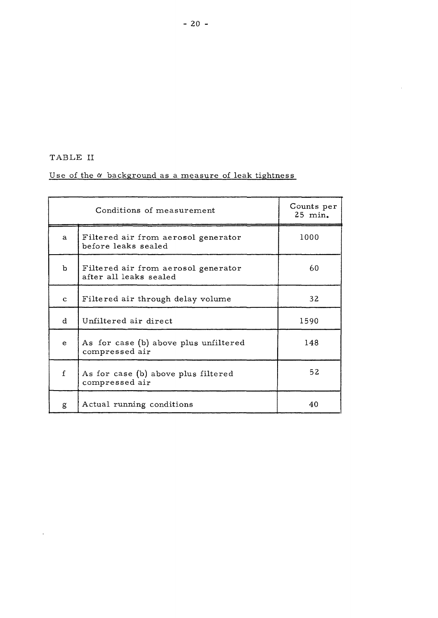TABLE II

 $\sim 10^{11}$ 

# Use of the  $\alpha$  background as a measure of leak tightness

|              | Conditions of measurement                                     | Counts per<br>25 min. |
|--------------|---------------------------------------------------------------|-----------------------|
| a            | Filtered air from aerosol generator<br>before leaks sealed    | 1000                  |
| b            | Filtered air from aerosol generator<br>after all leaks sealed | 60                    |
| $\mathbf{C}$ | Filtered air through delay volume                             | 32                    |
| d.           | Unfiltered air direct                                         | 1590                  |
| e            | As for case (b) above plus unfiltered<br>compressed air       | 148                   |
| f            | As for case (b) above plus filtered<br>compressed air         | 52                    |
| g            | Actual running conditions                                     | 40                    |

 $\mathcal{L}$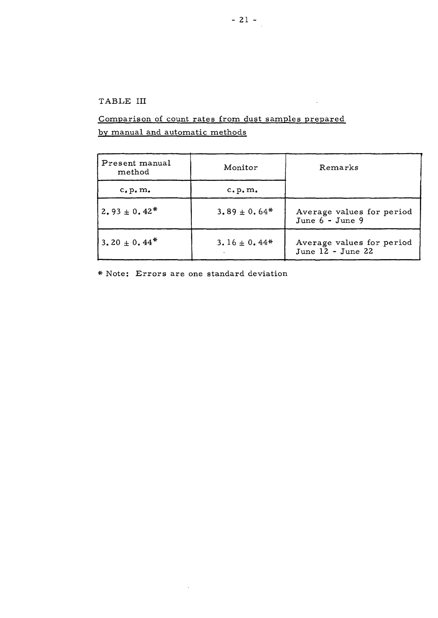# TABLE III

# Comparison of count rates from dust samples prepared by manual and automatic methods

| Present manual<br>method     | Monitor          | Remarks                                          |  |
|------------------------------|------------------|--------------------------------------------------|--|
| c, p, m.                     | c, p, m,         |                                                  |  |
| $2.93 \pm 0.42^*$            | $3.89 \pm 0.64*$ | Average values for period<br>June $6 -$ June 9   |  |
| 3.20 $\pm$ 0.44 <sup>*</sup> | $3.16 \pm 0.44*$ | Average values for period<br>June $12 -$ June 22 |  |

 $\sim$   $\sim$ 

\* Note: Errors are one standard deviation

 $\sim$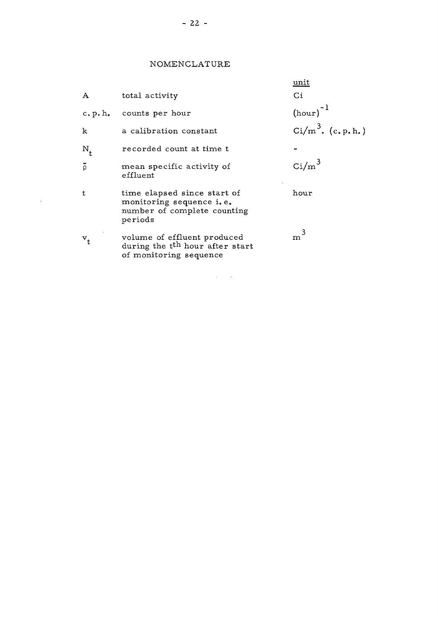# NOMENCLATURE

|                |                                                                                                      | unit                         |
|----------------|------------------------------------------------------------------------------------------------------|------------------------------|
| $\mathbf{A}$   | total activity                                                                                       | $\overline{C}$               |
| c. p.h.        | counts per hour                                                                                      | $(hour)^{-1}$                |
| k              | a calibration constant                                                                               | $\text{Ci/m}^3$ . (c. p. h.) |
| $N_{+}$        | recorded count at time t                                                                             |                              |
| $\overline{Q}$ | mean specific activity of<br>effluent                                                                | $\text{Ci/m}^3$              |
| t.             | time elapsed since start of<br>monitoring sequence i.e.<br>number of complete counting<br>periods    | hour                         |
| $v_t$          | volume of effluent produced<br>during the t <sup>th</sup> hour after start<br>of monitoring sequence | m                            |

 $\sim 10^{-10}$ 

 $\mathcal{L}^{\text{max}}_{\text{max}}$  , where  $\mathcal{L}^{\text{max}}_{\text{max}}$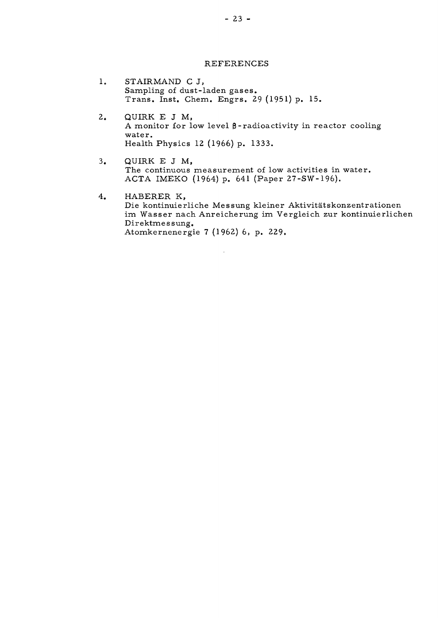#### REFERENCES

- $1.$ STAIRMAND C J, Sampling of dust-laden gases. Trans. Inst. Chem. Engrs. 29 (1951) p. 15.
- QUIRK E J M,  $2.$ A monitor for low level  $\beta$ -radioactivity in reactor cooling water. Health Physics 12 (1966) p. 1333.
- $3.$ QUIRK E J M, The continuous measurement of low activities in water. ACTA IMEKO (1964) p. 641 (Paper 27-SW-196).
- $4.$ HABERER K, Die kontinuierliche Messung kleiner Aktivitätskonzentrationen im Wasser nach Anreicherung im Vergleich zur kontinuierlichen Direktmes sung. Atomkernenergie 7 (1962) 6, p. 229.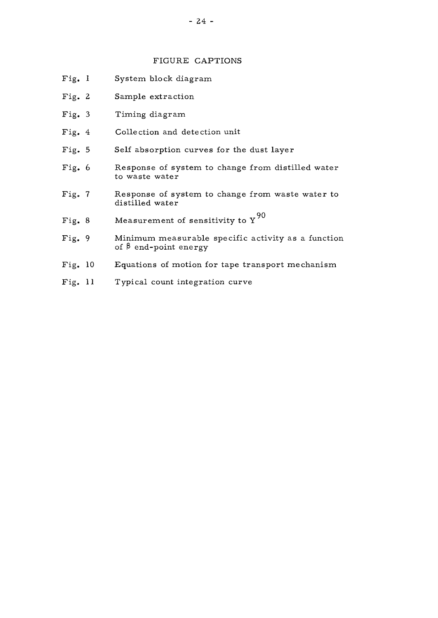## FIGURE CAPTIONS

- Fig. 1 System block diagram
- 2 Sample extraction
- 3 Timing diagram
- 4 Collection and detection unit
- 5 Self absorption curves for the dust layer
- 6 Response of system to change from distilled water to waste water
- Fig. 7 Response of system to change from waste water to distilled water
- **90**  o Measurement of sensitivity to I
- Fig. 9 Minimum measurable specific activity as a function of  $\beta$  end-point energy
- 10 Equations of motion for tape transport mechanism
- Fig. 11 Typical count integration curve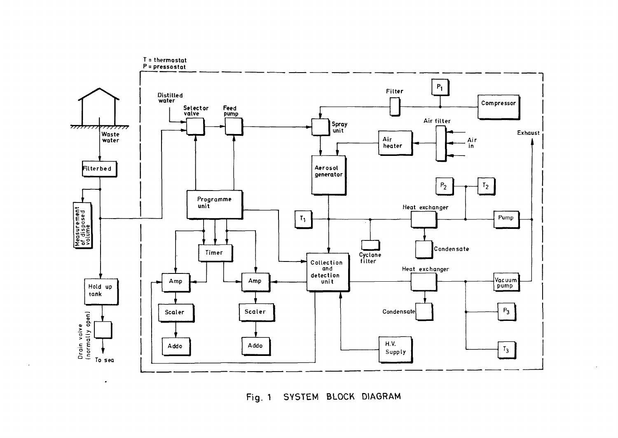

Fig. 1 SYSTEM BLOCK DIAGRAM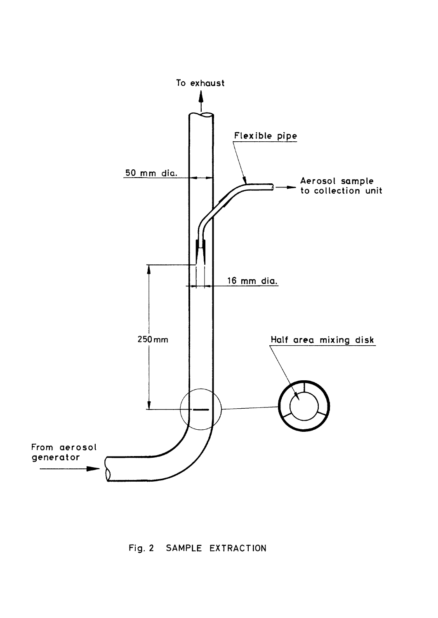

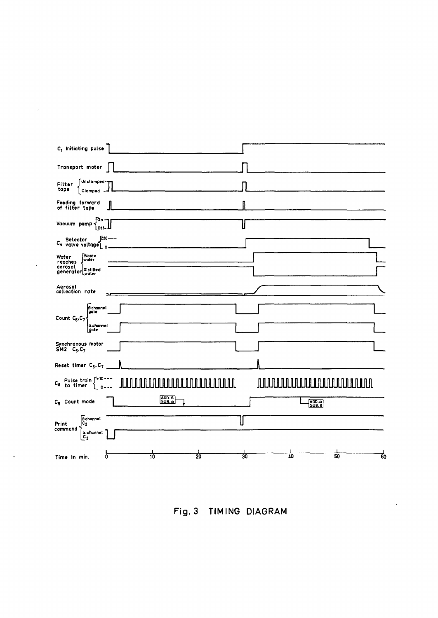| C <sub>1</sub> Initiating pulse                                                                              |                                                                                                                                    |
|--------------------------------------------------------------------------------------------------------------|------------------------------------------------------------------------------------------------------------------------------------|
| Transport motor                                                                                              |                                                                                                                                    |
| ∫Unclamped- <del>y</del><br>Filter<br>tape<br>Clamped -                                                      |                                                                                                                                    |
| Feeding forward<br>of filter tape                                                                            |                                                                                                                                    |
| ŢОп-<br>Vacuum pump<br>لأ-10]                                                                                | н                                                                                                                                  |
| -------<br>C <sub>4</sub> Selector<br>C <sub>4</sub> valve voltage<br>Ó                                      |                                                                                                                                    |
| <br> Waste<br> water<br>Water<br>reaches<br>aerosol<br>generator Distilled                                   |                                                                                                                                    |
| Aerosol<br>collection rate                                                                                   |                                                                                                                                    |
| B channel<br> gate<br>Count C <sub>6</sub> , C <sub>7</sub><br>a channel                                     |                                                                                                                                    |
| gate<br>Synchronous motor<br>$SM2$ $C_6$ , $C_7$                                                             |                                                                                                                                    |
| Reset timer C <sub>6</sub> , C <sub>7</sub>                                                                  |                                                                                                                                    |
| $C_8$ Pulse train $\int_{0}^{+10}$ ---<br>JUUU A<br>╨<br>$\mathbf{o}$                                        | <u>AUU AUU AUU AUU AUU AUU ALAH ING KERJAAN DI AMBAD ALAH ING KERJAAN DI ALAH ING KERJAAN DI ALAH ING KERJA BADA</u><br>$\  \  \ $ |
| $\begin{bmatrix} \overline{ADD.} & 0 \\ \overline{SUB.} & \alpha \end{bmatrix}$<br>C <sub>5</sub> Count mode | $\begin{bmatrix} \overline{ADD}, \overline{O} \\ \overline{SUB}, \overline{B} \end{bmatrix}$                                       |
| <b>B</b> channel<br>jč,<br>Print<br>command<br>a channel<br>C <sub>3</sub>                                   | L                                                                                                                                  |
| $\overline{20}$<br>0<br>10<br>Time in min.                                                                   | 40<br>50<br>60<br>$\overline{30}$                                                                                                  |

 $\mathcal{L}$ 

 $\bar{z}$ 

Fig. 3 TIMING DIAGRAM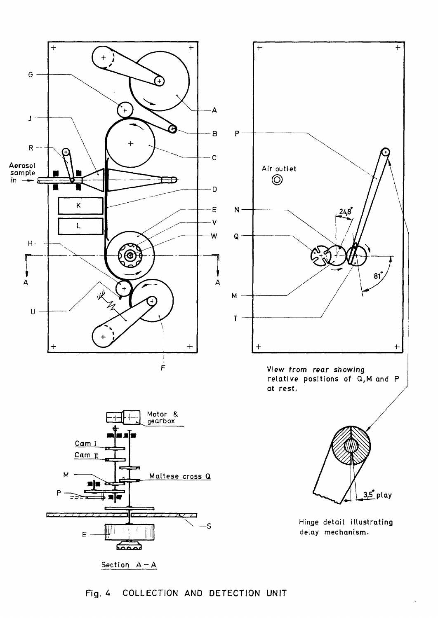





Hinge detail illustrating delay mechanism.

COLLECTION AND DETECTION UNIT Fig. 4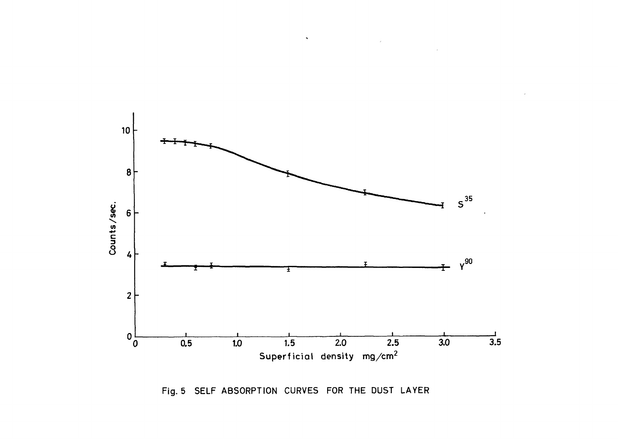

 $\lambda$ 

Fig. 5 SELF ABSORPTION CURVES FOR THE DUST LAYER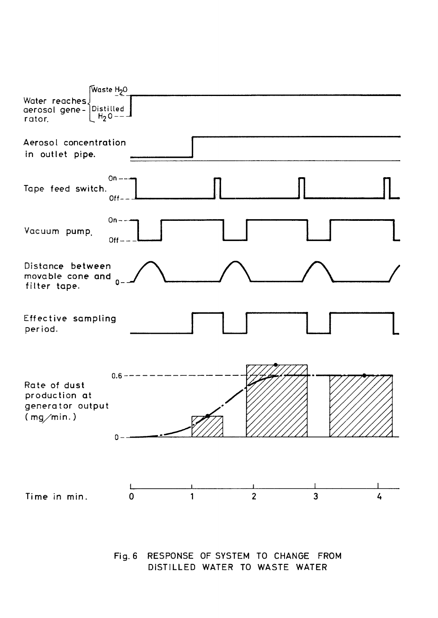

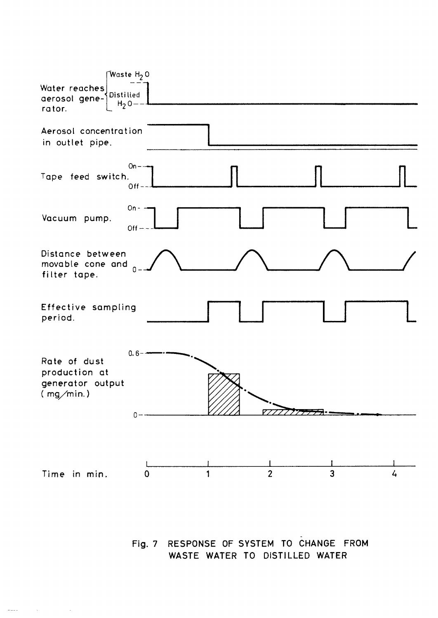

Fig. 7 RESPONSE OF SYSTEM TO CHANGE FROM WASTE WATER TO DISTILLED WATER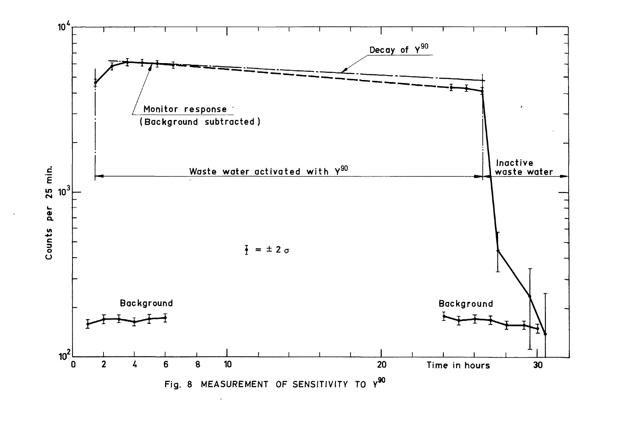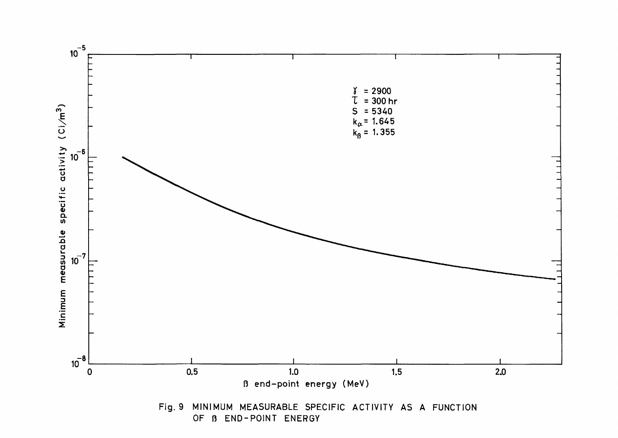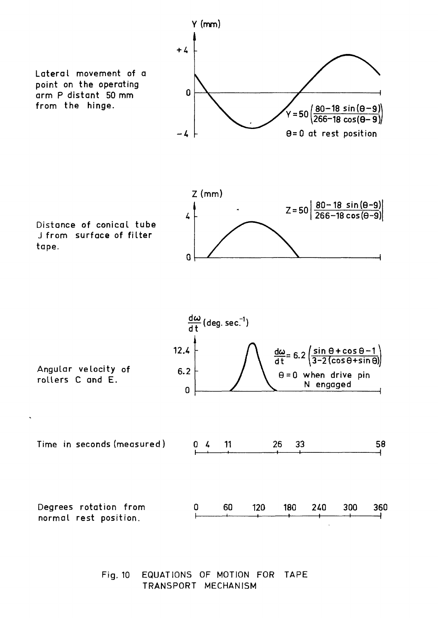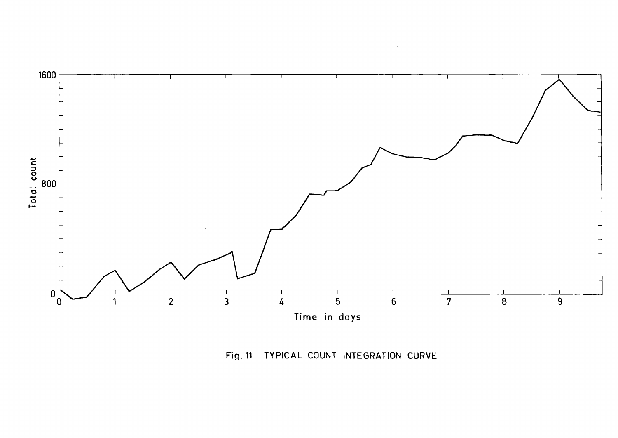

 $\lambda$ 

Fig. 11 TYPICAL COUNT INTEGRATION CURVE